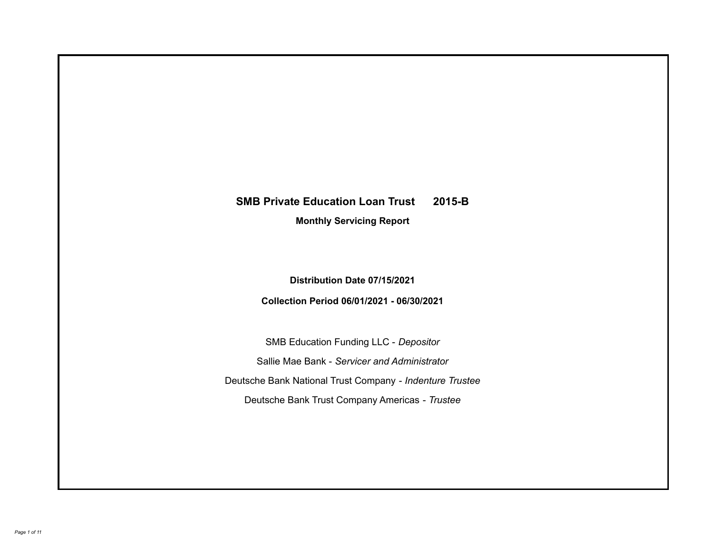# **SMB Private Education Loan Trust 2015-B**

**Monthly Servicing Report**

**Distribution Date 07/15/2021**

**Collection Period 06/01/2021 - 06/30/2021**

SMB Education Funding LLC - *Depositor* Sallie Mae Bank - *Servicer and Administrator* Deutsche Bank National Trust Company - *Indenture Trustee* Deutsche Bank Trust Company Americas - *Trustee*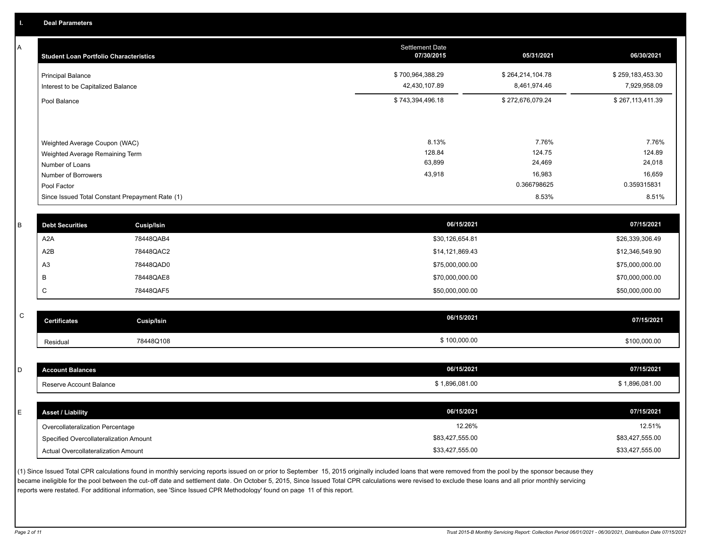A

| <b>Student Loan Portfolio Characteristics</b>                  | <b>Settlement Date</b><br>07/30/2015 | 05/31/2021                       | 06/30/2021                       |
|----------------------------------------------------------------|--------------------------------------|----------------------------------|----------------------------------|
| <b>Principal Balance</b><br>Interest to be Capitalized Balance | \$700,964,388.29<br>42,430,107.89    | \$264,214,104.78<br>8,461,974.46 | \$259,183,453.30<br>7,929,958.09 |
| Pool Balance                                                   | \$743,394,496.18                     | \$272,676,079.24                 | \$267,113,411.39                 |
| Weighted Average Coupon (WAC)                                  | 8.13%                                | 7.76%                            | 7.76%                            |
| Weighted Average Remaining Term                                | 128.84                               | 124.75                           | 124.89                           |
| Number of Loans                                                | 63,899                               | 24,469                           | 24,018                           |
| Number of Borrowers                                            | 43,918                               | 16,983                           | 16,659                           |
| Pool Factor                                                    |                                      | 0.366798625                      | 0.359315831                      |
| Since Issued Total Constant Prepayment Rate (1)                |                                      | 8.53%                            | 8.51%                            |

| <b>Debt Securities</b> | Cusip/Isin | 06/15/2021      | 07/15/2021      |
|------------------------|------------|-----------------|-----------------|
| A2A                    | 78448QAB4  | \$30,126,654.81 | \$26,339,306.49 |
| A2B                    | 78448QAC2  | \$14,121,869.43 | \$12,346,549.90 |
| A <sub>3</sub>         | 78448QAD0  | \$75,000,000.00 | \$75,000,000.00 |
|                        | 78448QAE8  | \$70,000,000.00 | \$70,000,000.00 |
|                        | 78448QAF5  | \$50,000,000.00 | \$50,000,000.00 |
|                        |            |                 |                 |

| $\sim$<br>◡ | <b>Certificates</b> | Cusip/Isin | 06/15/2021 | 07/15/2021   |
|-------------|---------------------|------------|------------|--------------|
|             | Residual            | 78448Q108  | 100,000.00 | \$100,000.00 |

| <b>Account Balances</b>          | 06/15/2021     | 07/15/2021     |
|----------------------------------|----------------|----------------|
| Reserve Account Balance          | \$1,896,081.00 | \$1,896,081.00 |
|                                  |                |                |
|                                  |                |                |
| <b>Asset / Liability</b>         | 06/15/2021     | 07/15/2021     |
| Overcollateralization Percentage | 12.26%         | 12.51%         |

(1) Since Issued Total CPR calculations found in monthly servicing reports issued on or prior to September 15, 2015 originally included loans that were removed from the pool by the sponsor because they became ineligible for the pool between the cut-off date and settlement date. On October 5, 2015, Since Issued Total CPR calculations were revised to exclude these loans and all prior monthly servicing reports were restated. For additional information, see 'Since Issued CPR Methodology' found on page 11 of this report.

Actual Overcollateralization Amount \$33,427,555.00

\$33,427,555.00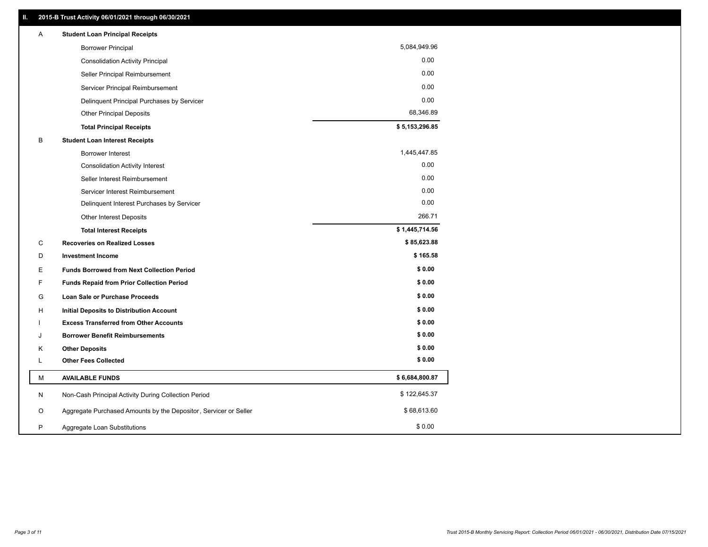| A  | <b>Student Loan Principal Receipts</b>                           |                |
|----|------------------------------------------------------------------|----------------|
|    | <b>Borrower Principal</b>                                        | 5,084,949.96   |
|    | <b>Consolidation Activity Principal</b>                          | 0.00           |
|    | Seller Principal Reimbursement                                   | 0.00           |
|    | Servicer Principal Reimbursement                                 | 0.00           |
|    | Delinquent Principal Purchases by Servicer                       | 0.00           |
|    | <b>Other Principal Deposits</b>                                  | 68,346.89      |
|    | <b>Total Principal Receipts</b>                                  | \$5,153,296.85 |
| B  | <b>Student Loan Interest Receipts</b>                            |                |
|    | <b>Borrower Interest</b>                                         | 1,445,447.85   |
|    | <b>Consolidation Activity Interest</b>                           | 0.00           |
|    | Seller Interest Reimbursement                                    | 0.00           |
|    | Servicer Interest Reimbursement                                  | 0.00           |
|    | Delinquent Interest Purchases by Servicer                        | 0.00           |
|    | <b>Other Interest Deposits</b>                                   | 266.71         |
|    | <b>Total Interest Receipts</b>                                   | \$1,445,714.56 |
| С  | <b>Recoveries on Realized Losses</b>                             | \$85,623.88    |
| D  | <b>Investment Income</b>                                         | \$165.58       |
| E. | <b>Funds Borrowed from Next Collection Period</b>                | \$0.00         |
| F  | Funds Repaid from Prior Collection Period                        | \$0.00         |
| G  | <b>Loan Sale or Purchase Proceeds</b>                            | \$0.00         |
| н  | Initial Deposits to Distribution Account                         | \$0.00         |
|    | <b>Excess Transferred from Other Accounts</b>                    | \$0.00         |
| J  | <b>Borrower Benefit Reimbursements</b>                           | \$0.00         |
| Κ  | <b>Other Deposits</b>                                            | \$0.00         |
| Г  | <b>Other Fees Collected</b>                                      | \$0.00         |
| М  | <b>AVAILABLE FUNDS</b>                                           | \$6,684,800.87 |
| N  | Non-Cash Principal Activity During Collection Period             | \$122,645.37   |
| O  | Aggregate Purchased Amounts by the Depositor, Servicer or Seller | \$68,613.60    |
| P  | Aggregate Loan Substitutions                                     | \$0.00         |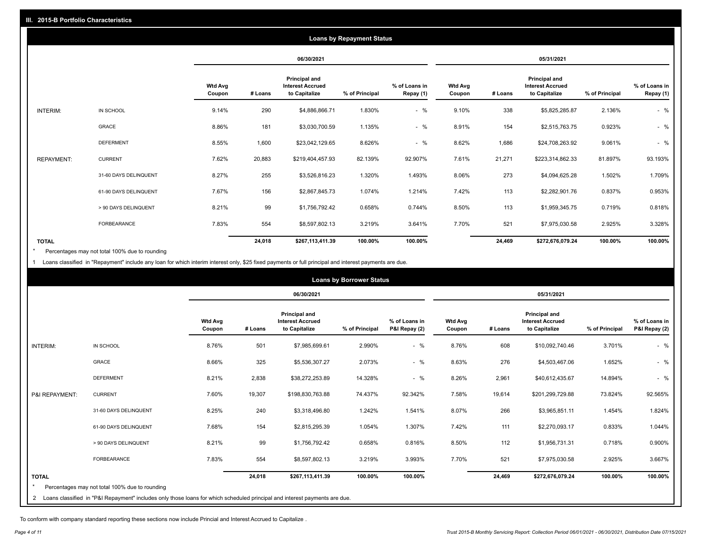|                   |                       |                   |         |                                                           | <b>Loans by Repayment Status</b> |                            |                          |         |                                                                  |                |                            |  |
|-------------------|-----------------------|-------------------|---------|-----------------------------------------------------------|----------------------------------|----------------------------|--------------------------|---------|------------------------------------------------------------------|----------------|----------------------------|--|
|                   |                       |                   |         | 06/30/2021                                                |                                  |                            | 05/31/2021               |         |                                                                  |                |                            |  |
|                   |                       | Wtd Avg<br>Coupon | # Loans | Principal and<br><b>Interest Accrued</b><br>to Capitalize | % of Principal                   | % of Loans in<br>Repay (1) | <b>Wtd Avg</b><br>Coupon | # Loans | <b>Principal and</b><br><b>Interest Accrued</b><br>to Capitalize | % of Principal | % of Loans in<br>Repay (1) |  |
| INTERIM:          | IN SCHOOL             | 9.14%             | 290     | \$4,886,866.71                                            | 1.830%                           | $-$ %                      | 9.10%                    | 338     | \$5,825,285.87                                                   | 2.136%         | $-$ %                      |  |
|                   | GRACE                 | 8.86%             | 181     | \$3,030,700.59                                            | 1.135%                           | $-$ %                      | 8.91%                    | 154     | \$2,515,763.75                                                   | 0.923%         | $-$ %                      |  |
|                   | <b>DEFERMENT</b>      | 8.55%             | 1,600   | \$23,042,129.65                                           | 8.626%                           | $-$ %                      | 8.62%                    | 1,686   | \$24,708,263.92                                                  | 9.061%         | $-$ %                      |  |
| <b>REPAYMENT:</b> | <b>CURRENT</b>        | 7.62%             | 20,883  | \$219,404,457.93                                          | 82.139%                          | 92.907%                    | 7.61%                    | 21,271  | \$223,314,862.33                                                 | 81.897%        | 93.193%                    |  |
|                   | 31-60 DAYS DELINQUENT | 8.27%             | 255     | \$3,526,816.23                                            | 1.320%                           | 1.493%                     | 8.06%                    | 273     | \$4,094,625.28                                                   | 1.502%         | 1.709%                     |  |
|                   | 61-90 DAYS DELINQUENT | 7.67%             | 156     | \$2,867,845.73                                            | 1.074%                           | 1.214%                     | 7.42%                    | 113     | \$2,282,901.76                                                   | 0.837%         | 0.953%                     |  |
|                   | > 90 DAYS DELINQUENT  | 8.21%             | 99      | \$1,756,792.42                                            | 0.658%                           | 0.744%                     | 8.50%                    | 113     | \$1,959,345.75                                                   | 0.719%         | 0.818%                     |  |
|                   | <b>FORBEARANCE</b>    | 7.83%             | 554     | \$8,597,802.13                                            | 3.219%                           | 3.641%                     | 7.70%                    | 521     | \$7,975,030.58                                                   | 2.925%         | 3.328%                     |  |
| <b>TOTAL</b>      |                       |                   | 24,018  | \$267,113,411.39                                          | 100.00%                          | 100.00%                    |                          | 24,469  | \$272,676,079.24                                                 | 100.00%        | 100.00%                    |  |

Percentages may not total 100% due to rounding  $\pmb{\ast}$ 

1 Loans classified in "Repayment" include any loan for which interim interest only, \$25 fixed payments or full principal and interest payments are due.

| <b>Loans by Borrower Status</b> |                                                                                                                              |                          |         |                                                                  |                |                                |                          |         |                                                           |                |                                |
|---------------------------------|------------------------------------------------------------------------------------------------------------------------------|--------------------------|---------|------------------------------------------------------------------|----------------|--------------------------------|--------------------------|---------|-----------------------------------------------------------|----------------|--------------------------------|
|                                 |                                                                                                                              |                          |         | 06/30/2021                                                       |                |                                | 05/31/2021               |         |                                                           |                |                                |
|                                 |                                                                                                                              | <b>Wtd Avg</b><br>Coupon | # Loans | <b>Principal and</b><br><b>Interest Accrued</b><br>to Capitalize | % of Principal | % of Loans in<br>P&I Repay (2) | <b>Wtd Avg</b><br>Coupon | # Loans | Principal and<br><b>Interest Accrued</b><br>to Capitalize | % of Principal | % of Loans in<br>P&I Repay (2) |
| INTERIM:                        | IN SCHOOL                                                                                                                    | 8.76%                    | 501     | \$7,985,699.61                                                   | 2.990%         | $-$ %                          | 8.76%                    | 608     | \$10,092,740.46                                           | 3.701%         | $-$ %                          |
|                                 | <b>GRACE</b>                                                                                                                 | 8.66%                    | 325     | \$5,536,307.27                                                   | 2.073%         | $-$ %                          | 8.63%                    | 276     | \$4,503,467.06                                            | 1.652%         | $-$ %                          |
|                                 | <b>DEFERMENT</b>                                                                                                             | 8.21%                    | 2,838   | \$38,272,253.89                                                  | 14.328%        | $-$ %                          | 8.26%                    | 2,961   | \$40,612,435.67                                           | 14.894%        | $-$ %                          |
| P&I REPAYMENT:                  | <b>CURRENT</b>                                                                                                               | 7.60%                    | 19,307  | \$198,830,763.88                                                 | 74.437%        | 92.342%                        | 7.58%                    | 19,614  | \$201,299,729.88                                          | 73.824%        | 92.565%                        |
|                                 | 31-60 DAYS DELINQUENT                                                                                                        | 8.25%                    | 240     | \$3,318,496.80                                                   | 1.242%         | 1.541%                         | 8.07%                    | 266     | \$3,965,851.11                                            | 1.454%         | 1.824%                         |
|                                 | 61-90 DAYS DELINQUENT                                                                                                        | 7.68%                    | 154     | \$2,815,295.39                                                   | 1.054%         | 1.307%                         | 7.42%                    | 111     | \$2,270,093.17                                            | 0.833%         | 1.044%                         |
|                                 | > 90 DAYS DELINQUENT                                                                                                         | 8.21%                    | 99      | \$1,756,792.42                                                   | 0.658%         | 0.816%                         | 8.50%                    | 112     | \$1,956,731.31                                            | 0.718%         | 0.900%                         |
|                                 | <b>FORBEARANCE</b>                                                                                                           | 7.83%                    | 554     | \$8,597,802.13                                                   | 3.219%         | 3.993%                         | 7.70%                    | 521     | \$7,975,030.58                                            | 2.925%         | 3.667%                         |
| <b>TOTAL</b>                    | Percentages may not total 100% due to rounding                                                                               |                          | 24,018  | \$267,113,411.39                                                 | 100.00%        | 100.00%                        |                          | 24,469  | \$272,676,079.24                                          | 100.00%        | 100.00%                        |
|                                 | 2 Loans classified in "P&I Repayment" includes only those loans for which scheduled principal and interest payments are due. |                          |         |                                                                  |                |                                |                          |         |                                                           |                |                                |

To conform with company standard reporting these sections now include Princial and Interest Accrued to Capitalize .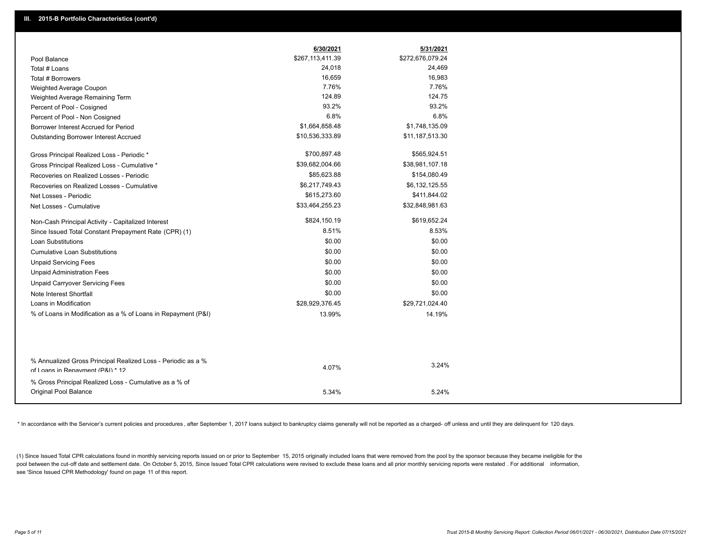|                                                                                                  | 6/30/2021        | 5/31/2021        |
|--------------------------------------------------------------------------------------------------|------------------|------------------|
| Pool Balance                                                                                     | \$267,113,411.39 | \$272,676,079.24 |
| Total # Loans                                                                                    | 24,018           | 24,469           |
| Total # Borrowers                                                                                | 16,659           | 16,983           |
| Weighted Average Coupon                                                                          | 7.76%            | 7.76%            |
| Weighted Average Remaining Term                                                                  | 124.89           | 124.75           |
| Percent of Pool - Cosigned                                                                       | 93.2%            | 93.2%            |
| Percent of Pool - Non Cosigned                                                                   | 6.8%             | 6.8%             |
| Borrower Interest Accrued for Period                                                             | \$1,664,858.48   | \$1,748,135.09   |
| <b>Outstanding Borrower Interest Accrued</b>                                                     | \$10,536,333.89  | \$11,187,513.30  |
| Gross Principal Realized Loss - Periodic *                                                       | \$700,897.48     | \$565,924.51     |
| Gross Principal Realized Loss - Cumulative *                                                     | \$39,682,004.66  | \$38,981,107.18  |
| Recoveries on Realized Losses - Periodic                                                         | \$85,623.88      | \$154,080.49     |
| Recoveries on Realized Losses - Cumulative                                                       | \$6,217,749.43   | \$6,132,125.55   |
| Net Losses - Periodic                                                                            | \$615,273.60     | \$411,844.02     |
| Net Losses - Cumulative                                                                          | \$33,464,255.23  | \$32,848,981.63  |
| Non-Cash Principal Activity - Capitalized Interest                                               | \$824,150.19     | \$619,652.24     |
| Since Issued Total Constant Prepayment Rate (CPR) (1)                                            | 8.51%            | 8.53%            |
| <b>Loan Substitutions</b>                                                                        | \$0.00           | \$0.00           |
| <b>Cumulative Loan Substitutions</b>                                                             | \$0.00           | \$0.00           |
| <b>Unpaid Servicing Fees</b>                                                                     | \$0.00           | \$0.00           |
| <b>Unpaid Administration Fees</b>                                                                | \$0.00           | \$0.00           |
| <b>Unpaid Carryover Servicing Fees</b>                                                           | \$0.00           | \$0.00           |
| Note Interest Shortfall                                                                          | \$0.00           | \$0.00           |
| Loans in Modification                                                                            | \$28,929,376.45  | \$29,721,024.40  |
| % of Loans in Modification as a % of Loans in Repayment (P&I)                                    | 13.99%           | 14.19%           |
|                                                                                                  |                  |                  |
| % Annualized Gross Principal Realized Loss - Periodic as a %<br>of Loans in Repayment (P&I) * 12 | 4.07%            | 3.24%            |
|                                                                                                  |                  |                  |
| % Gross Principal Realized Loss - Cumulative as a % of                                           |                  |                  |
| Original Pool Balance                                                                            | 5.34%            | 5.24%            |

\* In accordance with the Servicer's current policies and procedures, after September 1, 2017 loans subject to bankruptcy claims generally will not be reported as a charged- off unless and until they are delinquent for 120

(1) Since Issued Total CPR calculations found in monthly servicing reports issued on or prior to September 15, 2015 originally included loans that were removed from the pool by the sponsor because they became ineligible fo pool between the cut-off date and settlement date. On October 5, 2015, Since Issued Total CPR calculations were revised to exclude these loans and all prior monthly servicing reports were restated . For additional informat see 'Since Issued CPR Methodology' found on page 11 of this report.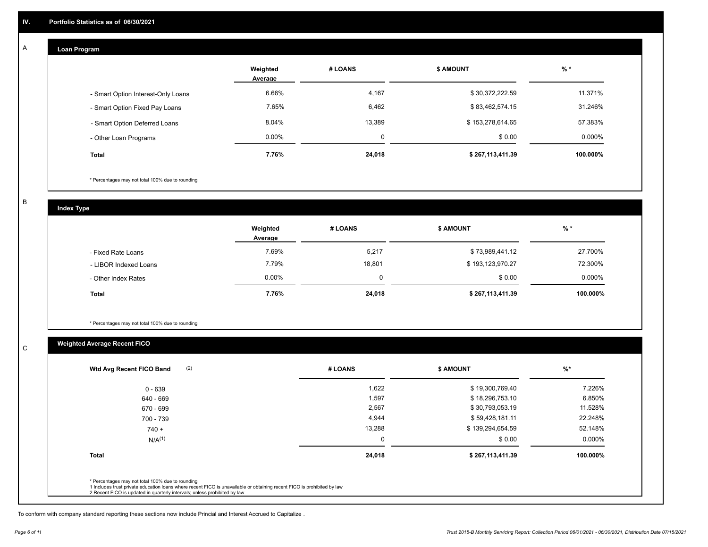#### **Loan Program**  A

|                                    | Weighted<br>Average | # LOANS  | <b>\$ AMOUNT</b> | $%$ *    |
|------------------------------------|---------------------|----------|------------------|----------|
| - Smart Option Interest-Only Loans | 6.66%               | 4,167    | \$30,372,222.59  | 11.371%  |
| - Smart Option Fixed Pay Loans     | 7.65%               | 6,462    | \$83,462,574.15  | 31.246%  |
| - Smart Option Deferred Loans      | 8.04%               | 13,389   | \$153,278,614.65 | 57.383%  |
| - Other Loan Programs              | $0.00\%$            | $\Omega$ | \$0.00           | 0.000%   |
| <b>Total</b>                       | 7.76%               | 24,018   | \$267,113,411.39 | 100.000% |

\* Percentages may not total 100% due to rounding

B

C

**Index Type**

|                       | Weighted<br>Average | # LOANS | \$ AMOUNT        | $%$ *    |
|-----------------------|---------------------|---------|------------------|----------|
| - Fixed Rate Loans    | 7.69%               | 5,217   | \$73,989,441.12  | 27.700%  |
| - LIBOR Indexed Loans | 7.79%               | 18,801  | \$193,123,970.27 | 72.300%  |
| - Other Index Rates   | $0.00\%$            |         | \$0.00           | 0.000%   |
| <b>Total</b>          | 7.76%               | 24,018  | \$267,113,411.39 | 100.000% |

\* Percentages may not total 100% due to rounding

## **Weighted Average Recent FICO**

| 1,622<br>1,597 | \$19,300,769.40<br>\$18,296,753.10 | 7.226%    |
|----------------|------------------------------------|-----------|
|                |                                    |           |
|                |                                    | 6.850%    |
| 2,567          | \$30,793,053.19                    | 11.528%   |
| 4,944          | \$59,428,181.11                    | 22.248%   |
| 13,288         | \$139,294,654.59                   | 52.148%   |
| $\mathbf 0$    | \$0.00                             | $0.000\%$ |
| 24,018         | \$267,113,411.39                   | 100.000%  |
|                |                                    |           |

To conform with company standard reporting these sections now include Princial and Interest Accrued to Capitalize .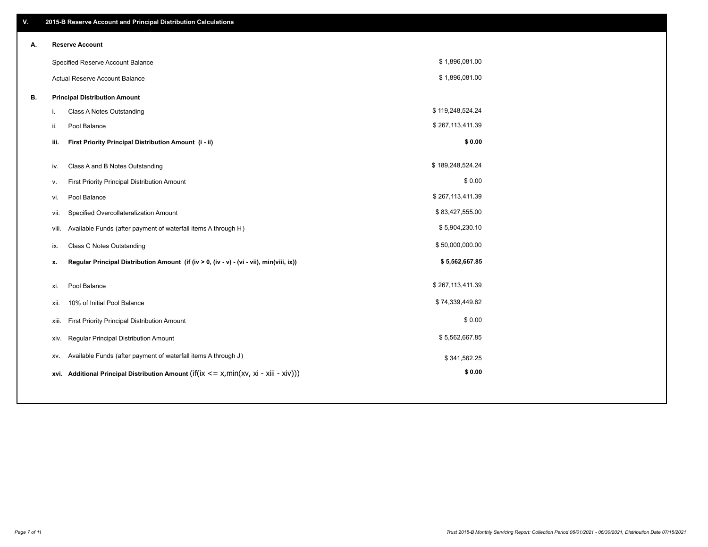| V. |       | 2015-B Reserve Account and Principal Distribution Calculations                                      |                  |  |
|----|-------|-----------------------------------------------------------------------------------------------------|------------------|--|
| Α. |       | <b>Reserve Account</b>                                                                              |                  |  |
|    |       | Specified Reserve Account Balance                                                                   | \$1,896,081.00   |  |
|    |       | <b>Actual Reserve Account Balance</b>                                                               | \$1,896,081.00   |  |
| В. |       | <b>Principal Distribution Amount</b>                                                                |                  |  |
|    | i.    | Class A Notes Outstanding                                                                           | \$119,248,524.24 |  |
|    | ii.   | Pool Balance                                                                                        | \$267,113,411.39 |  |
|    | iii.  | First Priority Principal Distribution Amount (i - ii)                                               | \$0.00           |  |
|    |       |                                                                                                     |                  |  |
|    | iv.   | Class A and B Notes Outstanding                                                                     | \$189,248,524.24 |  |
|    | v.    | First Priority Principal Distribution Amount                                                        | \$0.00           |  |
|    | vi.   | Pool Balance                                                                                        | \$267,113,411.39 |  |
|    | vii.  | Specified Overcollateralization Amount                                                              | \$83,427,555.00  |  |
|    | viii. | Available Funds (after payment of waterfall items A through H)                                      | \$5,904,230.10   |  |
|    | ix.   | <b>Class C Notes Outstanding</b>                                                                    | \$50,000,000.00  |  |
|    | x.    | Regular Principal Distribution Amount (if (iv > 0, (iv - v) - (vi - vii), min(viii, ix))            | \$5,562,667.85   |  |
|    |       |                                                                                                     |                  |  |
|    | xi.   | Pool Balance                                                                                        | \$267,113,411.39 |  |
|    | xii.  | 10% of Initial Pool Balance                                                                         | \$74,339,449.62  |  |
|    | xiii. | First Priority Principal Distribution Amount                                                        | \$0.00           |  |
|    | XIV.  | Regular Principal Distribution Amount                                                               | \$5,562,667.85   |  |
|    | XV.   | Available Funds (after payment of waterfall items A through J)                                      | \$341,562.25     |  |
|    |       | xvi. Additional Principal Distribution Amount (if( $ix \le x$ , min( $xv$ , $xi$ - $xiii - xiv$ ))) | \$0.00           |  |
|    |       |                                                                                                     |                  |  |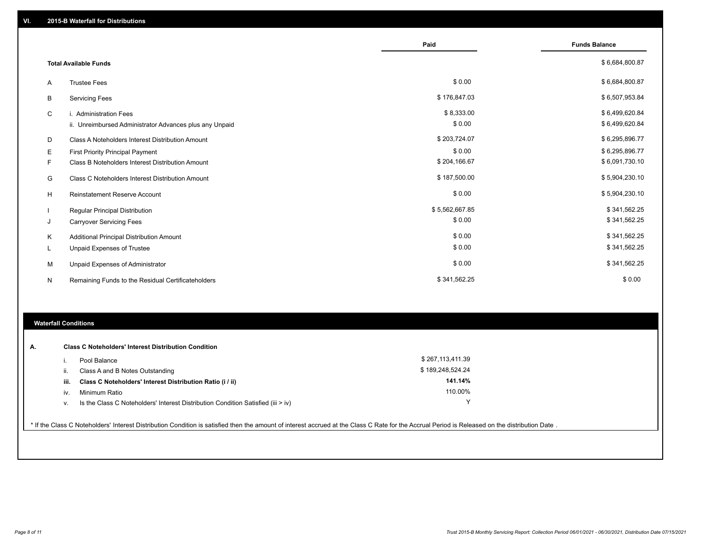|   |                                                         | Paid           | <b>Funds Balance</b> |
|---|---------------------------------------------------------|----------------|----------------------|
|   | <b>Total Available Funds</b>                            |                | \$6,684,800.87       |
| A | <b>Trustee Fees</b>                                     | \$0.00         | \$6,684,800.87       |
| В | <b>Servicing Fees</b>                                   | \$176,847.03   | \$6,507,953.84       |
| C | i. Administration Fees                                  | \$8,333.00     | \$6,499,620.84       |
|   | ii. Unreimbursed Administrator Advances plus any Unpaid | \$0.00         | \$6,499,620.84       |
| D | Class A Noteholders Interest Distribution Amount        | \$203,724.07   | \$6,295,896.77       |
| Е | First Priority Principal Payment                        | \$0.00         | \$6,295,896.77       |
| F | Class B Noteholders Interest Distribution Amount        | \$204,166.67   | \$6,091,730.10       |
| G | Class C Noteholders Interest Distribution Amount        | \$187,500.00   | \$5,904,230.10       |
| н | <b>Reinstatement Reserve Account</b>                    | \$0.00         | \$5,904,230.10       |
|   | Regular Principal Distribution                          | \$5,562,667.85 | \$341,562.25         |
| J | <b>Carryover Servicing Fees</b>                         | \$0.00         | \$341,562.25         |
| Κ | Additional Principal Distribution Amount                | \$0.00         | \$341,562.25         |
| L | <b>Unpaid Expenses of Trustee</b>                       | \$0.00         | \$341,562.25         |
| M | Unpaid Expenses of Administrator                        | \$0.00         | \$341,562.25         |
| N | Remaining Funds to the Residual Certificateholders      | \$341,562.25   | \$0.00               |

### **Waterfall Conditions**

| А. |      | <b>Class C Noteholders' Interest Distribution Condition</b>                        |                  |  |
|----|------|------------------------------------------------------------------------------------|------------------|--|
|    |      | Pool Balance                                                                       | \$267,113,411.39 |  |
|    | ш.   | Class A and B Notes Outstanding                                                    | \$189,248,524.24 |  |
|    | iii. | Class C Noteholders' Interest Distribution Ratio (i / ii)                          | 141.14%          |  |
|    | iv.  | Minimum Ratio                                                                      | 110.00%          |  |
|    | V.   | Is the Class C Noteholders' Interest Distribution Condition Satisfied (iii $>$ iv) | $\checkmark$     |  |
|    |      |                                                                                    |                  |  |

\* If the Class C Noteholders' Interest Distribution Condition is satisfied then the amount of interest accrued at the Class C Rate for the Accrual Period is Released on the distribution Date .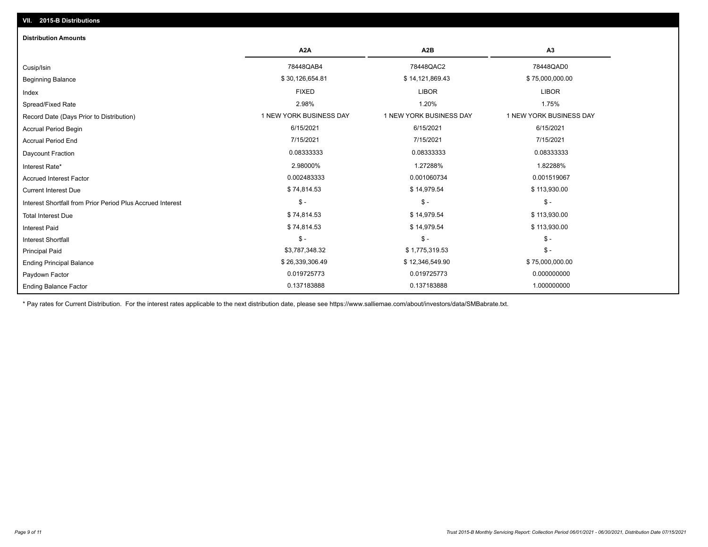| <b>Distribution Amounts</b>                                |                         |                         |                         |
|------------------------------------------------------------|-------------------------|-------------------------|-------------------------|
|                                                            | A <sub>2</sub> A        | A <sub>2</sub> B        | A3                      |
| Cusip/Isin                                                 | 78448QAB4               | 78448QAC2               | 78448QAD0               |
| <b>Beginning Balance</b>                                   | \$30,126,654.81         | \$14,121,869.43         | \$75,000,000.00         |
| Index                                                      | <b>FIXED</b>            | <b>LIBOR</b>            | <b>LIBOR</b>            |
| Spread/Fixed Rate                                          | 2.98%                   | 1.20%                   | 1.75%                   |
| Record Date (Days Prior to Distribution)                   | 1 NEW YORK BUSINESS DAY | 1 NEW YORK BUSINESS DAY | 1 NEW YORK BUSINESS DAY |
| <b>Accrual Period Begin</b>                                | 6/15/2021               | 6/15/2021               | 6/15/2021               |
| <b>Accrual Period End</b>                                  | 7/15/2021               | 7/15/2021               | 7/15/2021               |
| Daycount Fraction                                          | 0.08333333              | 0.08333333              | 0.08333333              |
| Interest Rate*                                             | 2.98000%                | 1.27288%                | 1.82288%                |
| <b>Accrued Interest Factor</b>                             | 0.002483333             | 0.001060734             | 0.001519067             |
| <b>Current Interest Due</b>                                | \$74,814.53             | \$14,979.54             | \$113,930.00            |
| Interest Shortfall from Prior Period Plus Accrued Interest | $\mathsf{\$}$ -         | $\mathsf{\$}$ -         | $$ -$                   |
| <b>Total Interest Due</b>                                  | \$74,814.53             | \$14,979.54             | \$113,930.00            |
| <b>Interest Paid</b>                                       | \$74,814.53             | \$14,979.54             | \$113,930.00            |
| <b>Interest Shortfall</b>                                  | $$ -$                   | $\frac{1}{2}$           | $\mathsf{\$}$ -         |
| <b>Principal Paid</b>                                      | \$3,787,348.32          | \$1,775,319.53          | $$ -$                   |
| <b>Ending Principal Balance</b>                            | \$26,339,306.49         | \$12,346,549.90         | \$75,000,000.00         |
| Paydown Factor                                             | 0.019725773             | 0.019725773             | 0.000000000             |
| <b>Ending Balance Factor</b>                               | 0.137183888             | 0.137183888             | 1.000000000             |

\* Pay rates for Current Distribution. For the interest rates applicable to the next distribution date, please see https://www.salliemae.com/about/investors/data/SMBabrate.txt.

**VII. 2015-B Distributions**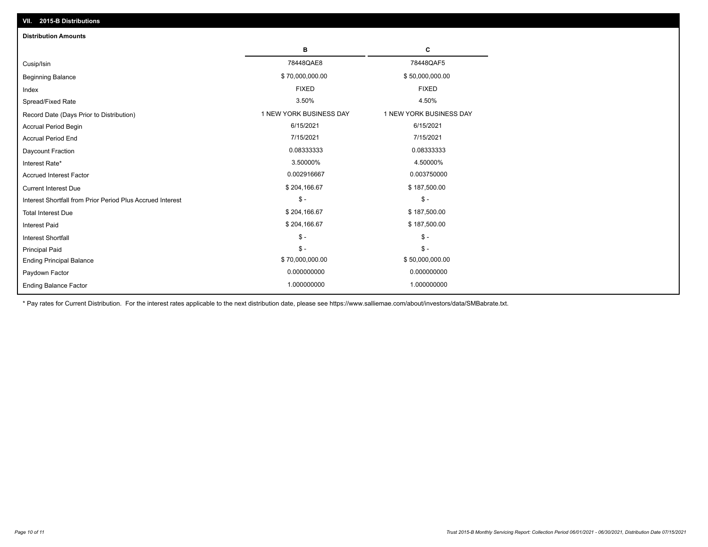| VII. 2015-B Distributions                                  |                         |                         |  |  |  |
|------------------------------------------------------------|-------------------------|-------------------------|--|--|--|
| <b>Distribution Amounts</b>                                |                         |                         |  |  |  |
|                                                            | в                       | С                       |  |  |  |
| Cusip/Isin                                                 | 78448QAE8               | 78448QAF5               |  |  |  |
| <b>Beginning Balance</b>                                   | \$70,000,000.00         | \$50,000,000.00         |  |  |  |
| Index                                                      | <b>FIXED</b>            | <b>FIXED</b>            |  |  |  |
| Spread/Fixed Rate                                          | 3.50%                   | 4.50%                   |  |  |  |
| Record Date (Days Prior to Distribution)                   | 1 NEW YORK BUSINESS DAY | 1 NEW YORK BUSINESS DAY |  |  |  |
| <b>Accrual Period Begin</b>                                | 6/15/2021               | 6/15/2021               |  |  |  |
| <b>Accrual Period End</b>                                  | 7/15/2021               | 7/15/2021               |  |  |  |
| Daycount Fraction                                          | 0.08333333              | 0.08333333              |  |  |  |
| Interest Rate*                                             | 3.50000%                | 4.50000%                |  |  |  |
| <b>Accrued Interest Factor</b>                             | 0.002916667             | 0.003750000             |  |  |  |
| <b>Current Interest Due</b>                                | \$204,166.67            | \$187,500.00            |  |  |  |
| Interest Shortfall from Prior Period Plus Accrued Interest | $\frac{1}{2}$           | $\mathsf{\$}$ -         |  |  |  |
| <b>Total Interest Due</b>                                  | \$204,166.67            | \$187,500.00            |  |  |  |
| Interest Paid                                              | \$204,166.67            | \$187,500.00            |  |  |  |
| Interest Shortfall                                         | $$ -$                   | $\frac{1}{2}$           |  |  |  |
| <b>Principal Paid</b>                                      | $\mathsf{\$}$ -         | $$ -$                   |  |  |  |
| <b>Ending Principal Balance</b>                            | \$70,000,000.00         | \$50,000,000.00         |  |  |  |
| Paydown Factor                                             | 0.000000000             | 0.000000000             |  |  |  |
| <b>Ending Balance Factor</b>                               | 1.000000000             | 1.000000000             |  |  |  |

\* Pay rates for Current Distribution. For the interest rates applicable to the next distribution date, please see https://www.salliemae.com/about/investors/data/SMBabrate.txt.